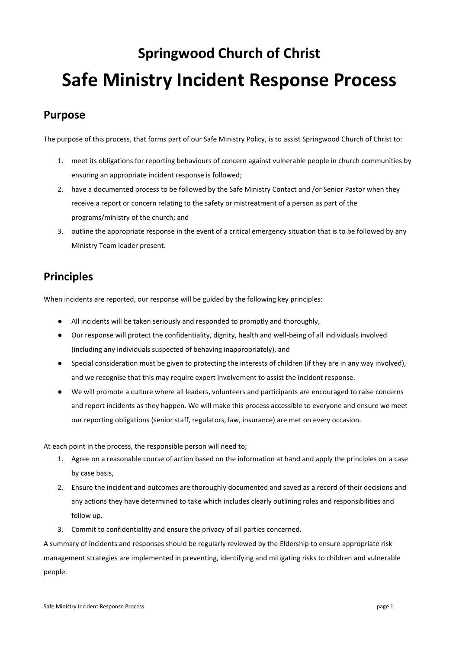# **Springwood Church of Christ Safe Ministry Incident Response Process**

# **Purpose**

The purpose of this process, that forms part of our Safe Ministry Policy, is to assist Springwood Church of Christ to:

- 1. meet its obligations for reporting behaviours of concern against vulnerable people in church communities by ensuring an appropriate incident response is followed;
- 2. have a documented process to be followed by the Safe Ministry Contact and /or Senior Pastor when they receive a report or concern relating to the safety or mistreatment of a person as part of the programs/ministry of the church; and
- 3. outline the appropriate response in the event of a critical emergency situation that is to be followed by any Ministry Team leader present.

# **Principles**

When incidents are reported, our response will be guided by the following key principles:

- All incidents will be taken seriously and responded to promptly and thoroughly,
- Our response will protect the confidentiality, dignity, health and well-being of all individuals involved (including any individuals suspected of behaving inappropriately), and
- Special consideration must be given to protecting the interests of children (if they are in any way involved), and we recognise that this may require expert involvement to assist the incident response.
- We will promote a culture where all leaders, volunteers and participants are encouraged to raise concerns and report incidents as they happen. We will make this process accessible to everyone and ensure we meet our reporting obligations (senior staff, regulators, law, insurance) are met on every occasion.

At each point in the process, the responsible person will need to;

- 1. Agree on a reasonable course of action based on the information at hand and apply the principles on a case by case basis,
- 2. Ensure the incident and outcomes are thoroughly documented and saved as a record of their decisions and any actions they have determined to take which includes clearly outlining roles and responsibilities and follow up.
- 3. Commit to confidentiality and ensure the privacy of all parties concerned.

A summary of incidents and responses should be regularly reviewed by the Eldership to ensure appropriate risk management strategies are implemented in preventing, identifying and mitigating risks to children and vulnerable people.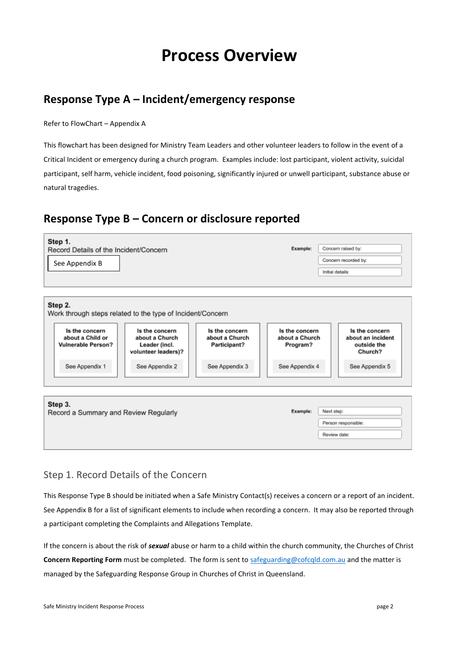# **Process Overview**

# **Response Type A – Incident/emergency response**

Refer to FlowChart – Appendix A

This flowchart has been designed for Ministry Team Leaders and other volunteer leaders to follow in the event of a Critical Incident or emergency during a church program. Examples include: lost participant, violent activity, suicidal participant, self harm, vehicle incident, food poisoning, significantly injured or unwell participant, substance abuse or natural tragedies.

# **Response Type B – Concern or disclosure reported**



## Step 1. Record Details of the Concern

This Response Type B should be initiated when a Safe Ministry Contact(s) receives a concern or a report of an incident. See Appendix B for a list of significant elements to include when recording a concern. It may also be reported through a participant completing the Complaints and Allegations Template.

If the concern is about the risk of *sexual* abuse or harm to a child within the church community, the Churches of Christ **Concern Reporting Form** must be completed. The form is sent t[o safeguarding@cofcqld.com.au](mailto:safeguarding@cofcqld.com.au) and the matter is managed by the Safeguarding Response Group in Churches of Christ in Queensland.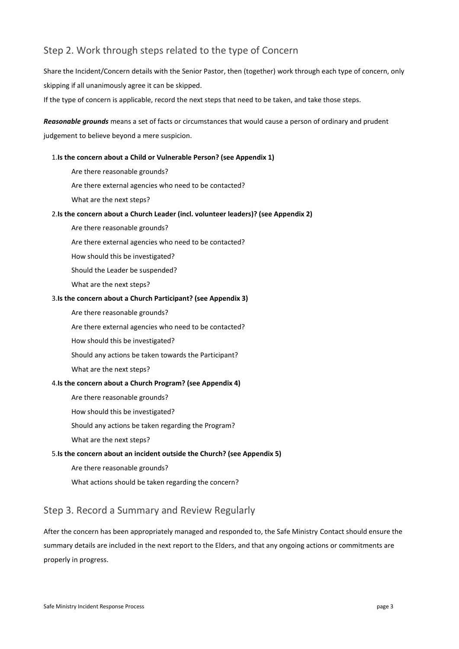## Step 2. Work through steps related to the type of Concern

Share the Incident/Concern details with the Senior Pastor, then (together) work through each type of concern, only skipping if all unanimously agree it can be skipped.

If the type of concern is applicable, record the next steps that need to be taken, and take those steps.

*Reasonable grounds* means a set of facts or circumstances that would cause a person of ordinary and prudent judgement to believe beyond a mere suspicion.

#### 1.**Is the concern about a Child or Vulnerable Person? (see Appendix 1)**

- Are there reasonable grounds?
- Are there external agencies who need to be contacted?
- What are the next steps?

#### 2.**Is the concern about a Church Leader (incl. volunteer leaders)? (see Appendix 2)**

- Are there reasonable grounds?
- Are there external agencies who need to be contacted?
- How should this be investigated?
- Should the Leader be suspended?
- What are the next steps?

#### 3.**Is the concern about a Church Participant? (see Appendix 3)**

- Are there reasonable grounds?
- Are there external agencies who need to be contacted?
- How should this be investigated?
- Should any actions be taken towards the Participant?
- What are the next steps?

#### 4.**Is the concern about a Church Program? (see Appendix 4)**

- Are there reasonable grounds?
- How should this be investigated?
- Should any actions be taken regarding the Program?
- What are the next steps?

#### 5.**Is the concern about an incident outside the Church? (see Appendix 5)**

- Are there reasonable grounds?
- What actions should be taken regarding the concern?

#### Step 3. Record a Summary and Review Regularly

After the concern has been appropriately managed and responded to, the Safe Ministry Contact should ensure the summary details are included in the next report to the Elders, and that any ongoing actions or commitments are properly in progress.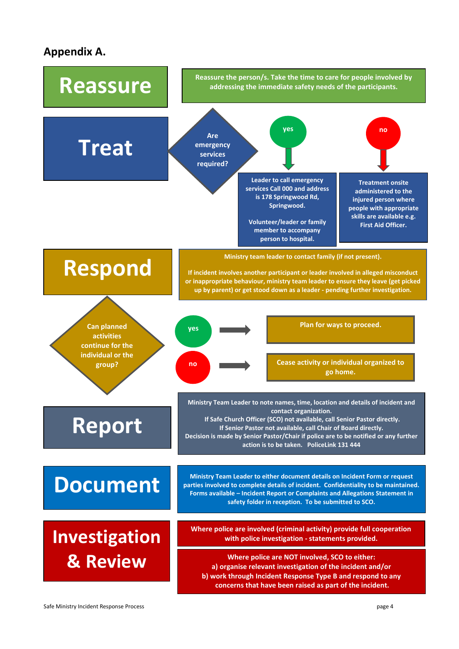# **Appendix A.**

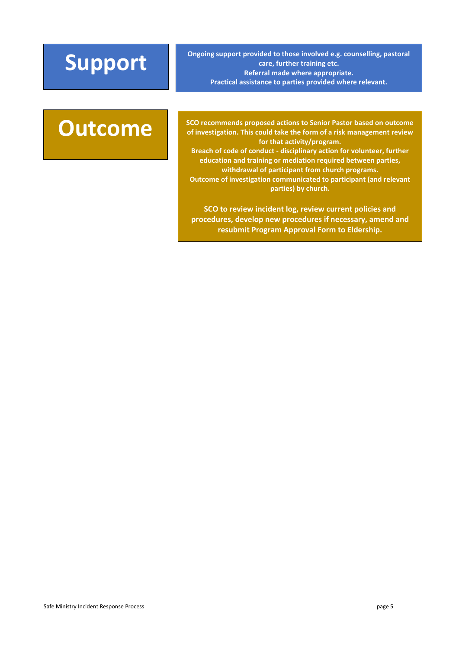**Support** *Ongoing support provided to those involved e.g. counselling, pastoral*<br> **Support**<br> *Congoing support provided to those involved e.g. counselling, pastoral*<br> *Referral made where appropriate* **care, further training etc. Referral made where appropriate. Practical assistance to parties provided where relevant.**

**Outcome** SCO recommends proposed actions to Senior Pastor based on outcome of investigation. This could take the form of a risk management review **of investigation. This could take the form of a risk management review for that activity/program. Breach of code of conduct - disciplinary action for volunteer, further** 

**education and training or mediation required between parties, withdrawal of participant from church programs. Outcome of investigation communicated to participant (and relevant parties) by church.**

**SCO to review incident log, review current policies and procedures, develop new procedures if necessary, amend and resubmit Program Approval Form to Eldership.**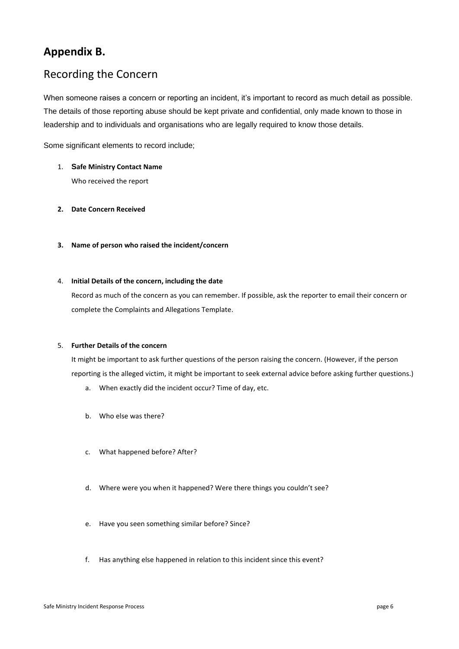# **Appendix B.**

# Recording the Concern

When someone raises a concern or reporting an incident, it's important to record as much detail as possible. The details of those reporting abuse should be kept private and confidential, only made known to those in leadership and to individuals and organisations who are legally required to know those details.

Some significant elements to record include;

- 1. **Safe Ministry Contact Name** Who received the report
- **2. Date Concern Received**
- **3. Name of person who raised the incident/concern**

#### 4. **Initial Details of the concern, including the date**

Record as much of the concern as you can remember. If possible, ask the reporter to email their concern or complete the Complaints and Allegations Template.

#### 5. **Further Details of the concern**

It might be important to ask further questions of the person raising the concern. (However, if the person reporting is the alleged victim, it might be important to seek external advice before asking further questions.)

- a. When exactly did the incident occur? Time of day, etc.
- b. Who else was there?
- c. What happened before? After?
- d. Where were you when it happened? Were there things you couldn't see?
- e. Have you seen something similar before? Since?
- f. Has anything else happened in relation to this incident since this event?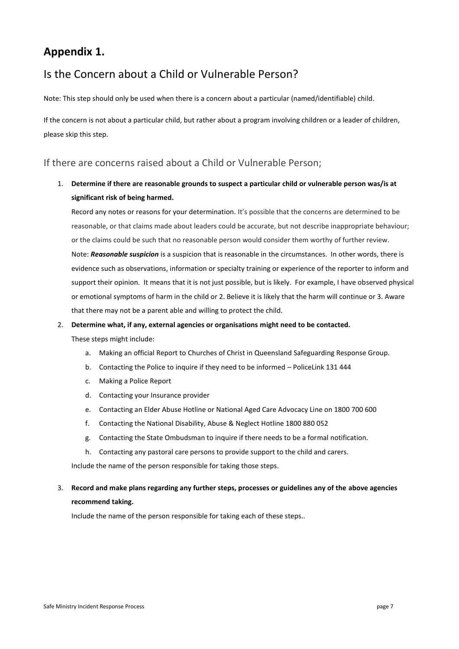# **Appendix 1.**

# Is the Concern about a Child or Vulnerable Person?

Note: This step should only be used when there is a concern about a particular (named/identifiable) child.

If the concern is not about a particular child, but rather about a program involving children or a leader of children, please skip this step.

#### If there are concerns raised about a Child or Vulnerable Person;

## 1. **Determine if there are reasonable grounds to suspect a particular child or vulnerable person was/is at significant risk of being harmed.**

Record any notes or reasons for your determination. It's possible that the concerns are determined to be reasonable, or that claims made about leaders could be accurate, but not describe inappropriate behaviour; or the claims could be such that no reasonable person would consider them worthy of further review. Note: *Reasonable suspicion* is a suspicion that is reasonable in the circumstances. In other words, there is evidence such as observations, information or specialty training or experience of the reporter to inform and support their opinion. It means that it is not just possible, but is likely. For example, I have observed physical or emotional symptoms of harm in the child or 2. Believe it is likely that the harm will continue or 3. Aware that there may not be a parent able and willing to protect the child.

#### 2. **Determine what, if any, external agencies or organisations might need to be contacted.**

These steps might include:

- a. Making an official Report to Churches of Christ in Queensland Safeguarding Response Group.
- b. Contacting the Police to inquire if they need to be informed PoliceLink 131 444
- c. Making a Police Report
- d. Contacting your Insurance provider
- e. Contacting an Elder Abuse Hotline or National Aged Care Advocacy Line on 1800 700 600
- f. Contacting the National Disability, Abuse & Neglect Hotline 1800 880 052
- g. Contacting the State Ombudsman to inquire if there needs to be a formal notification.
- h. Contacting any pastoral care persons to provide support to the child and carers.

Include the name of the person responsible for taking those steps.

#### 3. **Record and make plans regarding any further steps, processes or guidelines any of the above agencies recommend taking.**

Include the name of the person responsible for taking each of these steps..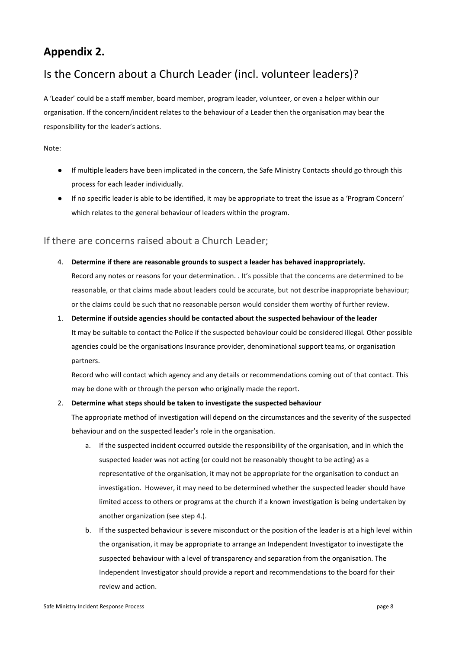# **Appendix 2.**

# Is the Concern about a Church Leader (incl. volunteer leaders)?

A 'Leader' could be a staff member, board member, program leader, volunteer, or even a helper within our organisation. If the concern/incident relates to the behaviour of a Leader then the organisation may bear the responsibility for the leader's actions.

#### Note:

- If multiple leaders have been implicated in the concern, the Safe Ministry Contacts should go through this process for each leader individually.
- If no specific leader is able to be identified, it may be appropriate to treat the issue as a 'Program Concern' which relates to the general behaviour of leaders within the program.

#### If there are concerns raised about a Church Leader;

- 4. **Determine if there are reasonable grounds to suspect a leader has behaved inappropriately.** Record any notes or reasons for your determination. . It's possible that the concerns are determined to be reasonable, or that claims made about leaders could be accurate, but not describe inappropriate behaviour; or the claims could be such that no reasonable person would consider them worthy of further review.
- 1. **Determine if outside agencies should be contacted about the suspected behaviour of the leader** It may be suitable to contact the Police if the suspected behaviour could be considered illegal. Other possible agencies could be the organisations Insurance provider, denominational support teams, or organisation partners.

Record who will contact which agency and any details or recommendations coming out of that contact. This may be done with or through the person who originally made the report.

#### 2. **Determine what steps should be taken to investigate the suspected behaviour**

The appropriate method of investigation will depend on the circumstances and the severity of the suspected behaviour and on the suspected leader's role in the organisation.

- a. If the suspected incident occurred outside the responsibility of the organisation, and in which the suspected leader was not acting (or could not be reasonably thought to be acting) as a representative of the organisation, it may not be appropriate for the organisation to conduct an investigation. However, it may need to be determined whether the suspected leader should have limited access to others or programs at the church if a known investigation is being undertaken by another organization (see step 4.).
- b. If the suspected behaviour is severe misconduct or the position of the leader is at a high level within the organisation, it may be appropriate to arrange an Independent Investigator to investigate the suspected behaviour with a level of transparency and separation from the organisation. The Independent Investigator should provide a report and recommendations to the board for their review and action.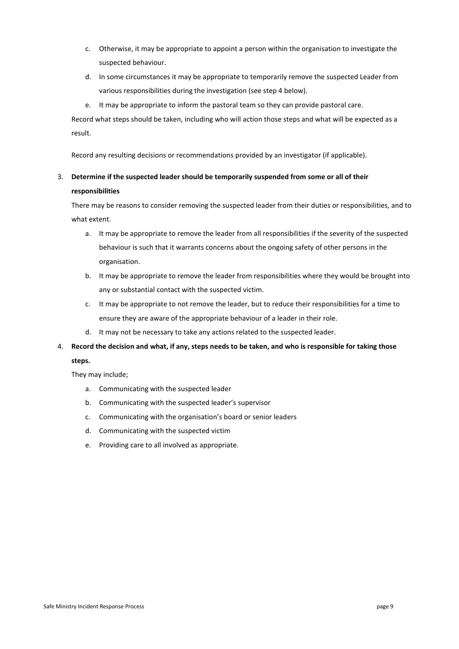- c. Otherwise, it may be appropriate to appoint a person within the organisation to investigate the suspected behaviour.
- d. In some circumstances it may be appropriate to temporarily remove the suspected Leader from various responsibilities during the investigation (see step 4 below).
- e. It may be appropriate to inform the pastoral team so they can provide pastoral care.

Record what steps should be taken, including who will action those steps and what will be expected as a result.

Record any resulting decisions or recommendations provided by an investigator (if applicable).

## 3. **Determine if the suspected leader should be temporarily suspended from some or all of their responsibilities**

There may be reasons to consider removing the suspected leader from their duties or responsibilities, and to what extent.

- a. It may be appropriate to remove the leader from all responsibilities if the severity of the suspected behaviour is such that it warrants concerns about the ongoing safety of other persons in the organisation.
- b. It may be appropriate to remove the leader from responsibilities where they would be brought into any or substantial contact with the suspected victim.
- c. It may be appropriate to not remove the leader, but to reduce their responsibilities for a time to ensure they are aware of the appropriate behaviour of a leader in their role.
- d. It may not be necessary to take any actions related to the suspected leader.
- 4. **Record the decision and what, if any, steps needs to be taken, and who is responsible for taking those steps.**

They may include;

- a. Communicating with the suspected leader
- b. Communicating with the suspected leader's supervisor
- c. Communicating with the organisation's board or senior leaders
- d. Communicating with the suspected victim
- e. Providing care to all involved as appropriate.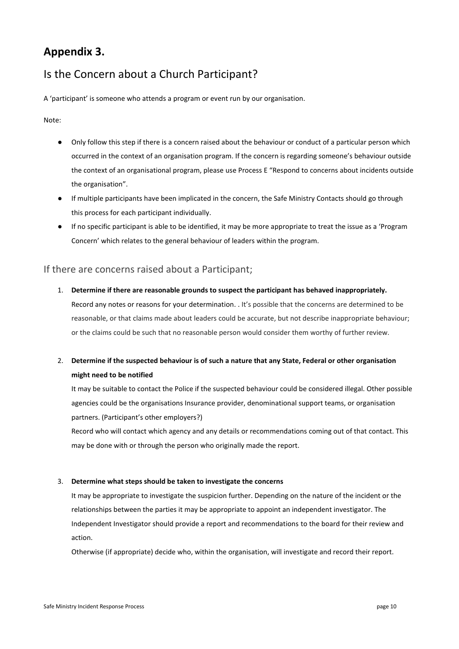# **Appendix 3.**

# Is the Concern about a Church Participant?

A 'participant' is someone who attends a program or event run by our organisation.

Note:

- Only follow this step if there is a concern raised about the behaviour or conduct of a particular person which occurred in the context of an organisation program. If the concern is regarding someone's behaviour outside the context of an organisational program, please use Process E "Respond to concerns about incidents outside the organisation".
- If multiple participants have been implicated in the concern, the Safe Ministry Contacts should go through this process for each participant individually.
- If no specific participant is able to be identified, it may be more appropriate to treat the issue as a 'Program Concern' which relates to the general behaviour of leaders within the program.

#### If there are concerns raised about a Participant;

- 1. **Determine if there are reasonable grounds to suspect the participant has behaved inappropriately.** Record any notes or reasons for your determination. . It's possible that the concerns are determined to be reasonable, or that claims made about leaders could be accurate, but not describe inappropriate behaviour; or the claims could be such that no reasonable person would consider them worthy of further review.
- 2. **Determine if the suspected behaviour is of such a nature that any State, Federal or other organisation might need to be notified**

It may be suitable to contact the Police if the suspected behaviour could be considered illegal. Other possible agencies could be the organisations Insurance provider, denominational support teams, or organisation partners. (Participant's other employers?)

Record who will contact which agency and any details or recommendations coming out of that contact. This may be done with or through the person who originally made the report.

#### 3. **Determine what steps should be taken to investigate the concerns**

It may be appropriate to investigate the suspicion further. Depending on the nature of the incident or the relationships between the parties it may be appropriate to appoint an independent investigator. The Independent Investigator should provide a report and recommendations to the board for their review and action.

Otherwise (if appropriate) decide who, within the organisation, will investigate and record their report.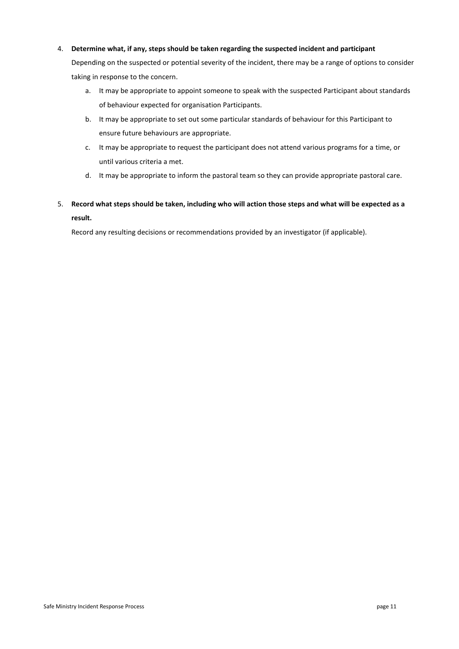#### 4. **Determine what, if any, steps should be taken regarding the suspected incident and participant**

Depending on the suspected or potential severity of the incident, there may be a range of options to consider taking in response to the concern.

- a. It may be appropriate to appoint someone to speak with the suspected Participant about standards of behaviour expected for organisation Participants.
- b. It may be appropriate to set out some particular standards of behaviour for this Participant to ensure future behaviours are appropriate.
- c. It may be appropriate to request the participant does not attend various programs for a time, or until various criteria a met.
- d. It may be appropriate to inform the pastoral team so they can provide appropriate pastoral care.
- 5. **Record what steps should be taken, including who will action those steps and what will be expected as a result.**

Record any resulting decisions or recommendations provided by an investigator (if applicable).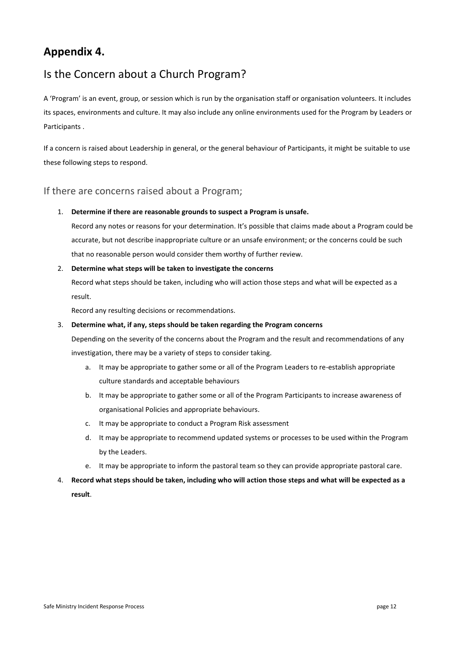# **Appendix 4.**

# Is the Concern about a Church Program?

A 'Program' is an event, group, or session which is run by the organisation staff or organisation volunteers. It includes its spaces, environments and culture. It may also include any online environments used for the Program by Leaders or Participants .

If a concern is raised about Leadership in general, or the general behaviour of Participants, it might be suitable to use these following steps to respond.

#### If there are concerns raised about a Program;

1. **Determine if there are reasonable grounds to suspect a Program is unsafe.**

Record any notes or reasons for your determination. It's possible that claims made about a Program could be accurate, but not describe inappropriate culture or an unsafe environment; or the concerns could be such that no reasonable person would consider them worthy of further review.

2. **Determine what steps will be taken to investigate the concerns**

Record what steps should be taken, including who will action those steps and what will be expected as a result.

Record any resulting decisions or recommendations.

#### 3. **Determine what, if any, steps should be taken regarding the Program concerns**

Depending on the severity of the concerns about the Program and the result and recommendations of any investigation, there may be a variety of steps to consider taking.

- a. It may be appropriate to gather some or all of the Program Leaders to re-establish appropriate culture standards and acceptable behaviours
- b. It may be appropriate to gather some or all of the Program Participants to increase awareness of organisational Policies and appropriate behaviours.
- c. It may be appropriate to conduct a Program Risk assessment
- d. It may be appropriate to recommend updated systems or processes to be used within the Program by the Leaders.
- e. It may be appropriate to inform the pastoral team so they can provide appropriate pastoral care.
- 4. **Record what steps should be taken, including who will action those steps and what will be expected as a result**.